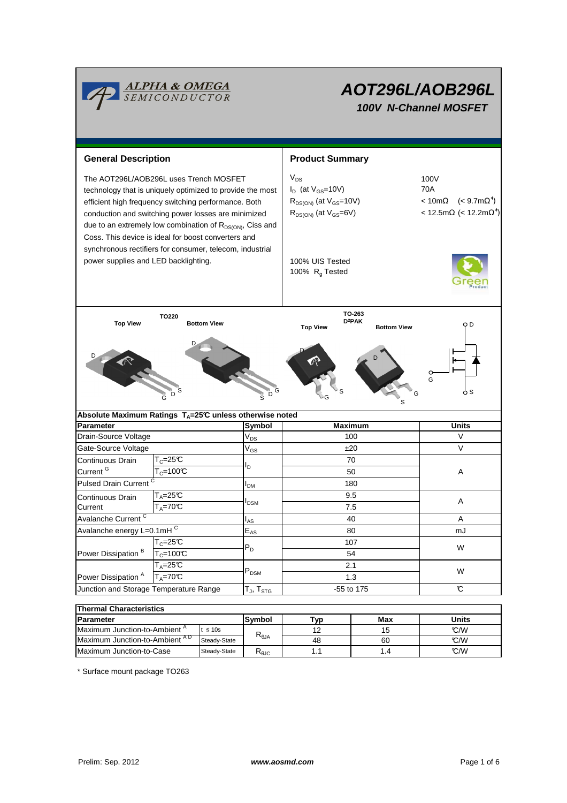

# **AOT296L/AOB296L**

**100V N-Channel MOSFET**

**General Description Community Community Community Community Community Community Community Community Community**  $V_{DS}$  $I_D$  (at  $V_{GS}$ =10V) 70A  $R_{DS(ON)}$  (at  $V_{GS}=10V$ ) ∗ )  $R_{DS(ON)}$  (at  $V_{GS}=6V$ ) ∗ ) 100% UIS Tested 100%  $R<sub>g</sub>$  Tested **Parameter Symbol Absolute Maximum Ratings TA=25°C unless otherwise noted** The AOT296L/AOB296L uses Trench MOSFET  $V_{DS}$   $=$   $V_{DS}$  100V technology that is uniquely optimized to provide the most efficient high frequency switching performance. Both conduction and switching power losses are minimized due to an extremely low combination of  $R_{DS(ON)}$ , Ciss and Coss. This device is ideal for boost converters and synchronous rectifiers for consumer, telecom, industrial power supplies and LED backlighting. **Maximum Units Maximum** G D S **TO220 Top View Bottom View** G G S D P S D D **TO-263 D<sup>2</sup>PAK Top View Bottom View** D D S G G S  $V_{DS}$  $V_{GS}$ IDM  $I_{AS}$  $E_{AS}$ T $_{\mathsf{J}}$ , T $_{\mathsf{STG}}$ **Symbol** t ≤ 10s **Units** Junction and Storage Temperature Range  $[T_{\text{J}}$ ,  $T_{\text{STG}}$   $]$   $-55$  to 175  $\degree$ **Thermal Characteristics Parameter** Max W Power Dissipation<sup>A</sup> PDSM W  $T_A = 70^{\circ}C$ 107 1.3  $T_A=25C$  $T_c=25C$ 2.1 Power Dissipation  $\overline{B}$   $\overline{T_C=100^\circ C}$   $\overline{C}$   $\overline{D}$   $\overline{D}$   $\overline{54}$  $P_D$  $\overline{T_A}$ =70°C  $I_{\rm D}$ 70 50  $T_C=25C$  $T_c = 100$ <sup>°</sup>C Pulsed Drain Current  $\begin{array}{ccc} \sim & & |_{\text{DM}} & | & \sim & 180 \end{array}$ Continuous Drain Current<sup>G</sup> mJ Avalanche Current <sup>C</sup> 7.5 Continuous Drain **Current** 80 9.5 40 A Avalanche energy L=0.1mH <sup>C</sup> A <sup>T</sup>A=25°C <sup>I</sup>DSM <sup>A</sup> Maximum Junction-to-Ambient<sup>A</sup>  $R_{\theta$ JA  $\begin{array}{|c|c|c|c|c|}\n\hline\n & 12 & 15 & \text{C/W} \\
\hline\n & 49 & 20 & 20 & 20M\n\end{array}$ 12 15 Gate-Source Voltage  $V_{GS}$   $\qquad \qquad$   $\pm 20$   $\qquad \qquad$  V Drain-Source Voltage 100 Voltage 100 Voltage 100 V

\* Surface mount package TO263

Maximum Junction-to-Case Steady-State R<sub>AIC</sub> 1.1 1.4 1.4 C/W Maximum Junction-to-Ambient °C/W A D

1.1

48

60 1.4

Steady-State

Steady-State R<sub>θJC</sub>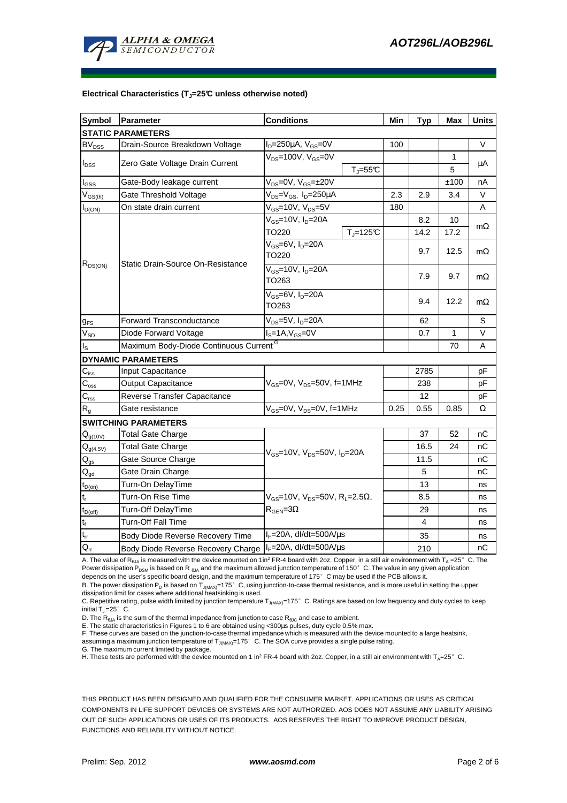

#### **Electrical Characteristics (TJ=25°C unless otherwise noted)**

| <b>Symbol</b>                 | Parameter                                          | <b>Conditions</b>                                            | Min  | <b>Typ</b> | <b>Max</b>   | <b>Units</b> |
|-------------------------------|----------------------------------------------------|--------------------------------------------------------------|------|------------|--------------|--------------|
| <b>STATIC PARAMETERS</b>      |                                                    |                                                              |      |            |              |              |
| <b>BV<sub>DSS</sub></b>       | Drain-Source Breakdown Voltage                     | $I_D = 250 \mu A$ , $V_{GS} = 0V$                            | 100  |            |              | $\vee$       |
| $I_{DSS}$                     | Zero Gate Voltage Drain Current                    | $V_{DS}$ =100V, $V_{GS}$ =0V                                 |      |            | 1            |              |
|                               |                                                    | $T_i = 55C$                                                  |      |            | 5            | μA           |
| $I_{GSS}$                     | Gate-Body leakage current                          | $V_{DS} = 0V$ , $V_{GS} = \pm 20V$                           |      |            | ±100         | nA           |
| $V_{GS(th)}$                  | Gate Threshold Voltage                             | $V_{DS} = V_{GS}$ , $I_D = 250 \mu A$                        | 2.3  | 2.9        | 3.4          | V            |
| $I_{D(ON)}$                   | On state drain current                             | $V_{GS}$ =10V, $V_{DS}$ =5V                                  | 180  |            |              | A            |
| $R_{DS(ON)}$                  | Static Drain-Source On-Resistance                  | $V_{GS}$ =10V, $I_D$ =20A                                    |      | 8.2<br>10  |              |              |
|                               |                                                    | $T_{\rm J}$ =125 $\rm C$<br>TO220                            |      | 14.2       | 17.2         | $m\Omega$    |
|                               |                                                    | $V_{GS}$ =6V, $I_D$ =20A                                     |      | 9.7        | 12.5         | $m\Omega$    |
|                               |                                                    | TO220                                                        |      |            |              |              |
|                               |                                                    | $V_{GS}$ =10V, $I_{D}$ =20A                                  |      | 7.9        | 9.7          | $m\Omega$    |
|                               |                                                    | TO263                                                        |      |            |              |              |
|                               |                                                    | $V_{GS}$ =6V, $I_D$ =20A                                     |      | 9.4        | 12.2         | $m\Omega$    |
|                               |                                                    | TO263                                                        |      |            |              |              |
| $g_{FS}$                      | <b>Forward Transconductance</b>                    | $V_{DS}$ =5V, I <sub>D</sub> =20A                            |      | 62         |              | S            |
| $V_{SD}$                      | Diode Forward Voltage                              | $I_S = 1A$ , $V_{GS} = 0V$                                   |      | 0.7        | $\mathbf{1}$ | $\vee$       |
| $\mathsf{I}_\mathsf{S}$       | Maximum Body-Diode Continuous Current <sup>G</sup> |                                                              |      |            | 70           | Α            |
| <b>DYNAMIC PARAMETERS</b>     |                                                    |                                                              |      |            |              |              |
| $C_{\underline{\text{iss}}}$  | Input Capacitance                                  |                                                              |      | 2785       |              | pF           |
| $\overline{C}_{\mathrm{oss}}$ | Output Capacitance                                 | $V_{GS}$ =0V, $V_{DS}$ =50V, f=1MHz                          |      | 238        |              | рF           |
| $\mathsf{C}_{\mathsf{rss}}$   | <b>Reverse Transfer Capacitance</b>                |                                                              |      | 12         |              | pF           |
| $R_{q}$                       | Gate resistance                                    | $V_{GS}$ =0V, $V_{DS}$ =0V, f=1MHz                           | 0.25 | 0.55       | 0.85         | Ω            |
|                               | <b>SWITCHING PARAMETERS</b>                        |                                                              |      |            |              |              |
| $Q_{g(10V)}$                  | <b>Total Gate Charge</b>                           |                                                              |      | 37         | 52           | пC           |
| $Q_{g(4.5V)}$                 | <b>Total Gate Charge</b>                           | $V_{GS}$ =10V, $V_{DS}$ =50V, $I_{D}$ =20A                   |      | 16.5       | 24           | nС           |
| $\mathsf{Q}_{\text{gs}}$      | Gate Source Charge                                 |                                                              |      | 11.5       |              | nС           |
| $Q_{qd}$                      | Gate Drain Charge                                  |                                                              |      | 5          |              | nС           |
| $t_{D(0n)}$                   | Turn-On DelayTime                                  |                                                              |      | 13         |              | ns           |
| $\mathbf{t}_\mathrm{r}$       | Turn-On Rise Time                                  | $V_{GS}$ =10V, $V_{DS}$ =50V, R <sub>L</sub> =2.5 $\Omega$ , |      | 8.5        |              | ns           |
| $t_{D(off)}$                  | Turn-Off DelayTime                                 | $R_{\text{GEN}} = 3\Omega$                                   |      | 29         |              | ns           |
| $\mathsf{t}_{\mathsf{f}}$     | Turn-Off Fall Time                                 |                                                              |      | 4          |              | ns           |
| $t_{rr}$                      | <b>Body Diode Reverse Recovery Time</b>            | $I_F = 20A$ , dl/dt=500A/ $\mu$ s                            |      | 35         |              | ns           |
| $\overline{Q}_{rr}$           | Body Diode Reverse Recovery Charge                 | $I_F = 20A$ , dl/dt=500A/ $\mu$ s                            |      | 210        |              | nС           |

A. The value of R<sub>ala</sub> is measured with the device mounted on 1in<sup>2</sup> FR-4 board with 2oz. Copper, in a still air environment with T<sub>a</sub> =25°C. The Power dissipation P<sub>DSM</sub> is based on R <sub>θJA</sub> and the maximum allowed junction temperature of 150°C. The value in any given application depends on the user's specific board design, and the maximum temperature of 175°C may be used if the PCB allows it.

B. The power dissipation P<sub>D</sub> is based on T<sub>J(MAX)</sub>=175°C, using junction-to-case thermal resistance, and is more useful in setting the upper dissipation limit for cases where additional heatsinking is used.

C. Repetitive rating, pulse width limited by junction temperature  $T_{J(MAX)}$ =175°C. Ratings are based on low frequency and duty cycles to keep initial  $T_J = 25^\circ$  C.

D. The  $R_{\theta JA}$  is the sum of the thermal impedance from junction to case  $R_{\theta JC}$  and case to ambient.

E. The static characteristics in Figures 1 to 6 are obtained using <300µs pulses, duty cycle 0.5% max.

F. These curves are based on the junction-to-case thermal impedance which is measured with the device mounted to a large heatsink, assuming a maximum junction temperature of  $T_{J(MAX)}=175^{\circ}$  C. The SOA curve provides a single pulse rating.

G. The maximum current limited by package.

H. These tests are performed with the device mounted on 1 in<sup>2</sup> FR-4 board with 2oz. Copper, in a still air environment with T<sub>A</sub>=25°C.

THIS PRODUCT HAS BEEN DESIGNED AND QUALIFIED FOR THE CONSUMER MARKET. APPLICATIONS OR USES AS CRITICAL COMPONENTS IN LIFE SUPPORT DEVICES OR SYSTEMS ARE NOT AUTHORIZED. AOS DOES NOT ASSUME ANY LIABILITY ARISING OUT OF SUCH APPLICATIONS OR USES OF ITS PRODUCTS. AOS RESERVES THE RIGHT TO IMPROVE PRODUCT DESIGN, FUNCTIONS AND RELIABILITY WITHOUT NOTICE.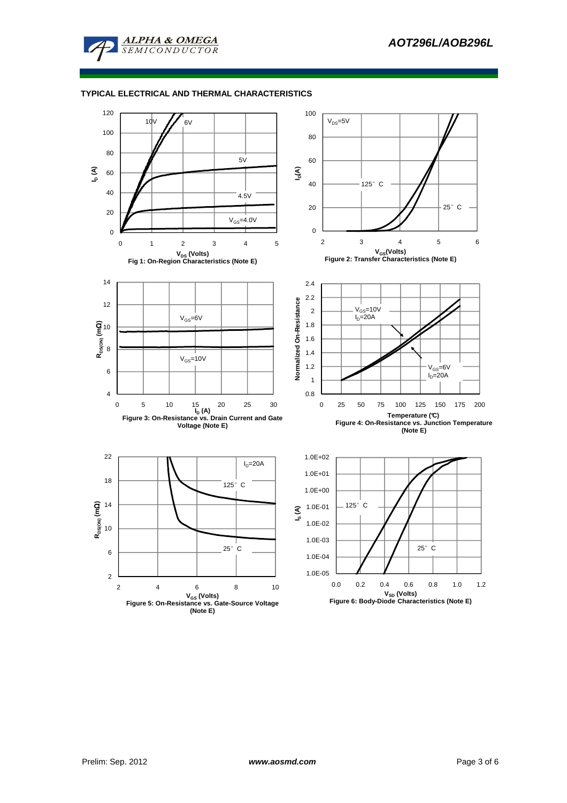

# **TYPICAL ELECTRICAL AND THERMAL CHARACTERISTICS**

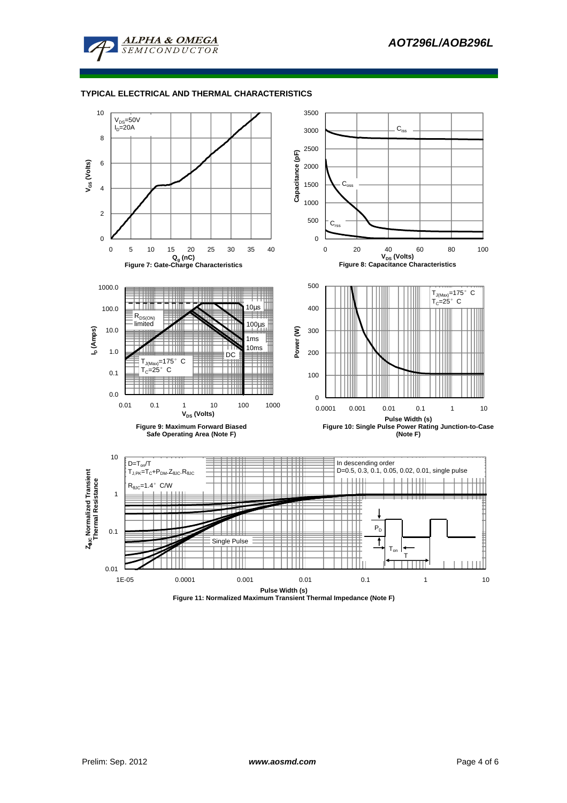

### **TYPICAL ELECTRICAL AND THERMAL CHARACTERISTICS**



**Figure 11: Normalized Maximum Transient Thermal Impedance (Note F)**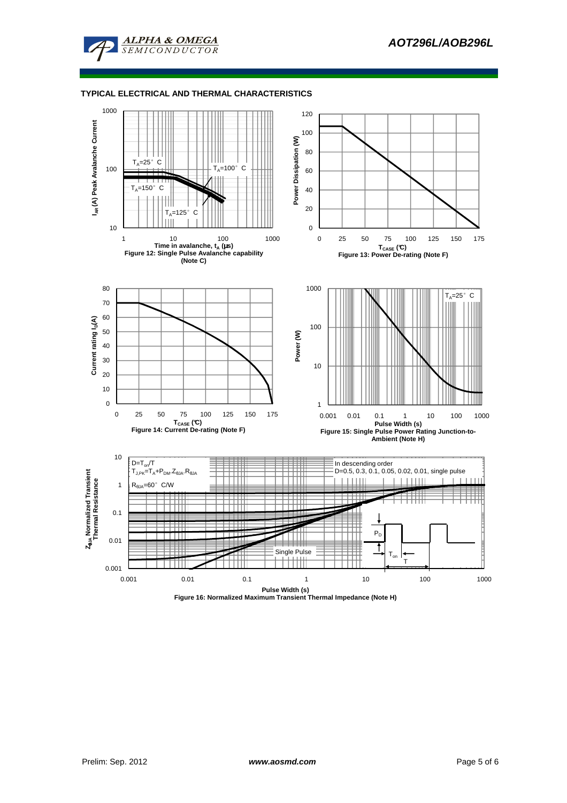

### **TYPICAL ELECTRICAL AND THERMAL CHARACTERISTICS**